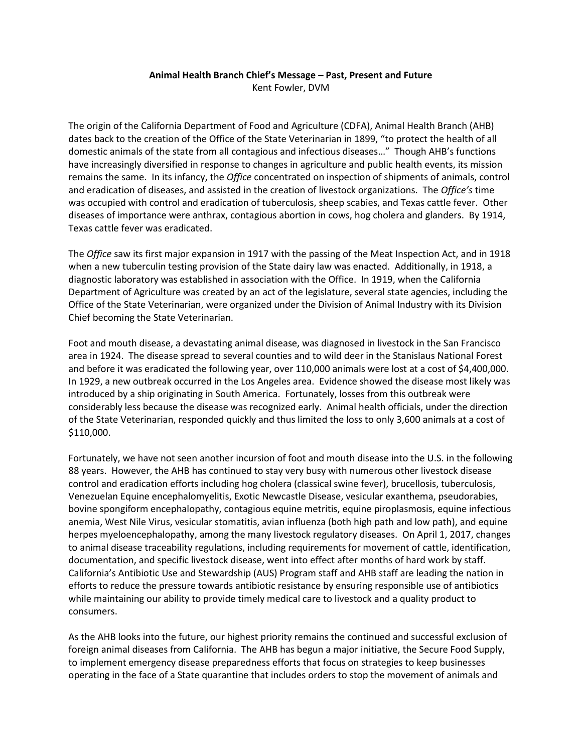## **Animal Health Branch Chief's Message – Past, Present and Future**

Kent Fowler, DVM

 domestic animals of the state from all contagious and infectious diseases…" Though AHB's functions was occupied with control and eradication of tuberculosis, sheep scabies, and Texas cattle fever. Other The origin of the California Department of Food and Agriculture (CDFA), Animal Health Branch (AHB) dates back to the creation of the Office of the State Veterinarian in 1899, "to protect the health of all have increasingly diversified in response to changes in agriculture and public health events, its mission remains the same. In its infancy, the *Office* concentrated on inspection of shipments of animals, control and eradication of diseases, and assisted in the creation of livestock organizations. The *Office's* time diseases of importance were anthrax, contagious abortion in cows, hog cholera and glanders. By 1914, Texas cattle fever was eradicated.

 when a new tuberculin testing provision of the State dairy law was enacted. Additionally, in 1918, a The *Office* saw its first major expansion in 1917 with the passing of the Meat Inspection Act, and in 1918 diagnostic laboratory was established in association with the Office. In 1919, when the California Department of Agriculture was created by an act of the legislature, several state agencies, including the Office of the State Veterinarian, were organized under the Division of Animal Industry with its Division Chief becoming the State Veterinarian.

Foot and mouth disease, a devastating animal disease, was diagnosed in livestock in the San Francisco area in 1924. The disease spread to several counties and to wild deer in the Stanislaus National Forest and before it was eradicated the following year, over 110,000 animals were lost at a cost of \$4,400,000. In 1929, a new outbreak occurred in the Los Angeles area. Evidence showed the disease most likely was introduced by a ship originating in South America. Fortunately, losses from this outbreak were considerably less because the disease was recognized early. Animal health officials, under the direction of the State Veterinarian, responded quickly and thus limited the loss to only 3,600 animals at a cost of \$110,000.

 Fortunately, we have not seen another incursion of foot and mouth disease into the U.S. in the following 88 years. However, the AHB has continued to stay very busy with numerous other livestock disease to animal disease traceability regulations, including requirements for movement of cattle, identification, control and eradication efforts including hog cholera (classical swine fever), brucellosis, tuberculosis, Venezuelan Equine encephalomyelitis, Exotic Newcastle Disease, vesicular exanthema, pseudorabies, bovine spongiform encephalopathy, contagious equine metritis, equine piroplasmosis, equine infectious anemia, West Nile Virus, vesicular stomatitis, avian influenza (both high path and low path), and equine herpes myeloencephalopathy, among the many livestock regulatory diseases. On April 1, 2017, changes documentation, and specific livestock disease, went into effect after months of hard work by staff. California's Antibiotic Use and Stewardship (AUS) Program staff and AHB staff are leading the nation in efforts to reduce the pressure towards antibiotic resistance by ensuring responsible use of antibiotics while maintaining our ability to provide timely medical care to livestock and a quality product to consumers.

 As the AHB looks into the future, our highest priority remains the continued and successful exclusion of foreign animal diseases from California. The AHB has begun a major initiative, the Secure Food Supply, to implement emergency disease preparedness efforts that focus on strategies to keep businesses operating in the face of a State quarantine that includes orders to stop the movement of animals and